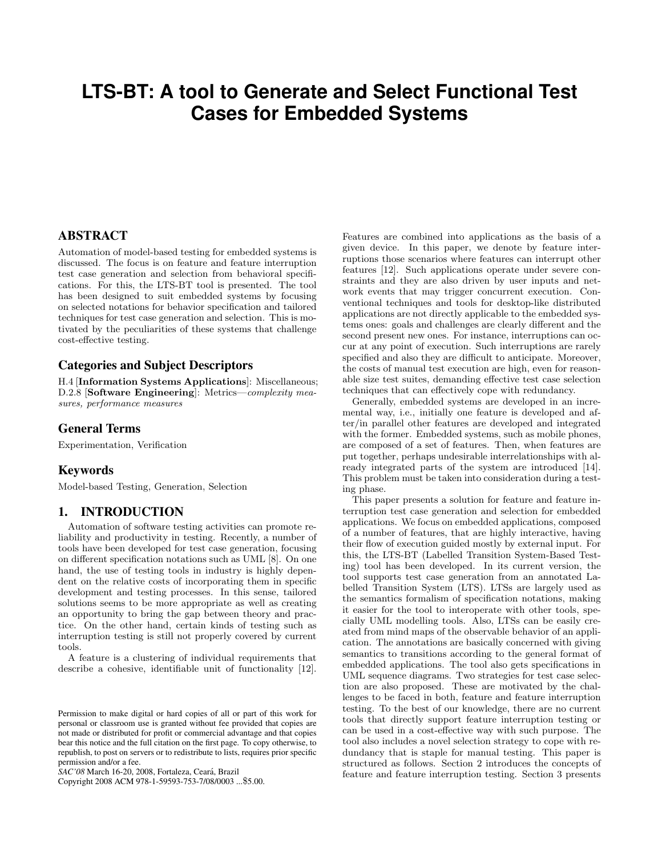# **LTS-BT: A tool to Generate and Select Functional Test Cases for Embedded Systems**

## ABSTRACT

Automation of model-based testing for embedded systems is discussed. The focus is on feature and feature interruption test case generation and selection from behavioral specifications. For this, the LTS-BT tool is presented. The tool has been designed to suit embedded systems by focusing on selected notations for behavior specification and tailored techniques for test case generation and selection. This is motivated by the peculiarities of these systems that challenge cost-effective testing.

## Categories and Subject Descriptors

H.4 [Information Systems Applications]: Miscellaneous; D.2.8 [Software Engineering]: Metrics—complexity measures, performance measures

## General Terms

Experimentation, Verification

## Keywords

Model-based Testing, Generation, Selection

## 1. INTRODUCTION

Automation of software testing activities can promote reliability and productivity in testing. Recently, a number of tools have been developed for test case generation, focusing on different specification notations such as UML [8]. On one hand, the use of testing tools in industry is highly dependent on the relative costs of incorporating them in specific development and testing processes. In this sense, tailored solutions seems to be more appropriate as well as creating an opportunity to bring the gap between theory and practice. On the other hand, certain kinds of testing such as interruption testing is still not properly covered by current tools.

A feature is a clustering of individual requirements that describe a cohesive, identifiable unit of functionality [12].

*SAC'08* March 16-20, 2008, Fortaleza, Ceara, Brazil ´

Copyright 2008 ACM 978-1-59593-753-7/08/0003 ...\$5.00.

Features are combined into applications as the basis of a given device. In this paper, we denote by feature interruptions those scenarios where features can interrupt other features [12]. Such applications operate under severe constraints and they are also driven by user inputs and network events that may trigger concurrent execution. Conventional techniques and tools for desktop-like distributed applications are not directly applicable to the embedded systems ones: goals and challenges are clearly different and the second present new ones. For instance, interruptions can occur at any point of execution. Such interruptions are rarely specified and also they are difficult to anticipate. Moreover, the costs of manual test execution are high, even for reasonable size test suites, demanding effective test case selection techniques that can effectively cope with redundancy.

Generally, embedded systems are developed in an incremental way, i.e., initially one feature is developed and after/in parallel other features are developed and integrated with the former. Embedded systems, such as mobile phones, are composed of a set of features. Then, when features are put together, perhaps undesirable interrelationships with already integrated parts of the system are introduced [14]. This problem must be taken into consideration during a testing phase.

This paper presents a solution for feature and feature interruption test case generation and selection for embedded applications. We focus on embedded applications, composed of a number of features, that are highly interactive, having their flow of execution guided mostly by external input. For this, the LTS-BT (Labelled Transition System-Based Testing) tool has been developed. In its current version, the tool supports test case generation from an annotated Labelled Transition System (LTS). LTSs are largely used as the semantics formalism of specification notations, making it easier for the tool to interoperate with other tools, specially UML modelling tools. Also, LTSs can be easily created from mind maps of the observable behavior of an application. The annotations are basically concerned with giving semantics to transitions according to the general format of embedded applications. The tool also gets specifications in UML sequence diagrams. Two strategies for test case selection are also proposed. These are motivated by the challenges to be faced in both, feature and feature interruption testing. To the best of our knowledge, there are no current tools that directly support feature interruption testing or can be used in a cost-effective way with such purpose. The tool also includes a novel selection strategy to cope with redundancy that is staple for manual testing. This paper is structured as follows. Section 2 introduces the concepts of feature and feature interruption testing. Section 3 presents

Permission to make digital or hard copies of all or part of this work for personal or classroom use is granted without fee provided that copies are not made or distributed for profit or commercial advantage and that copies bear this notice and the full citation on the first page. To copy otherwise, to republish, to post on servers or to redistribute to lists, requires prior specific permission and/or a fee.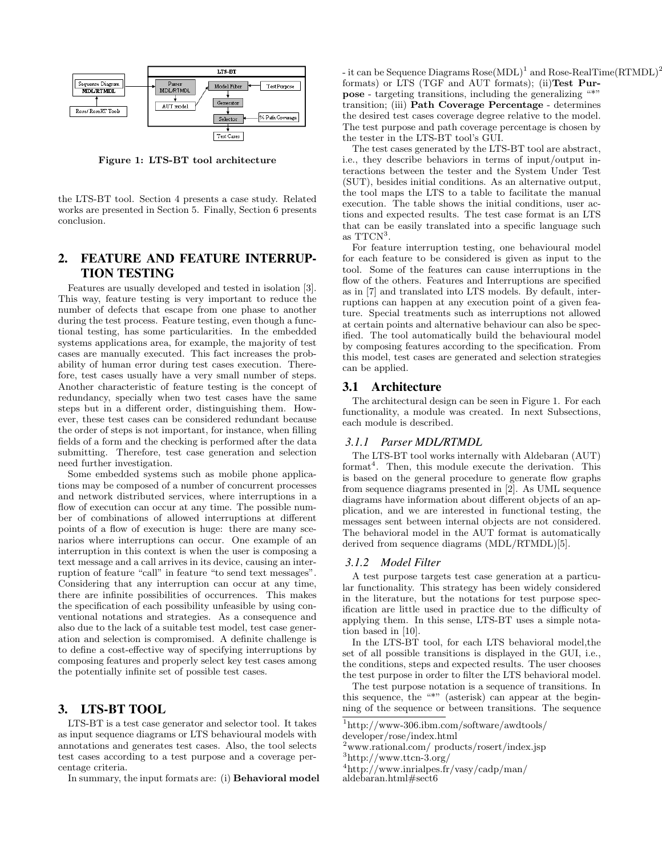

Figure 1: LTS-BT tool architecture

the LTS-BT tool. Section 4 presents a case study. Related works are presented in Section 5. Finally, Section 6 presents conclusion.

# 2. FEATURE AND FEATURE INTERRUP-TION TESTING

Features are usually developed and tested in isolation [3]. This way, feature testing is very important to reduce the number of defects that escape from one phase to another during the test process. Feature testing, even though a functional testing, has some particularities. In the embedded systems applications area, for example, the majority of test cases are manually executed. This fact increases the probability of human error during test cases execution. Therefore, test cases usually have a very small number of steps. Another characteristic of feature testing is the concept of redundancy, specially when two test cases have the same steps but in a different order, distinguishing them. However, these test cases can be considered redundant because the order of steps is not important, for instance, when filling fields of a form and the checking is performed after the data submitting. Therefore, test case generation and selection need further investigation.

Some embedded systems such as mobile phone applications may be composed of a number of concurrent processes and network distributed services, where interruptions in a flow of execution can occur at any time. The possible number of combinations of allowed interruptions at different points of a flow of execution is huge: there are many scenarios where interruptions can occur. One example of an interruption in this context is when the user is composing a text message and a call arrives in its device, causing an interruption of feature "call" in feature "to send text messages". Considering that any interruption can occur at any time, there are infinite possibilities of occurrences. This makes the specification of each possibility unfeasible by using conventional notations and strategies. As a consequence and also due to the lack of a suitable test model, test case generation and selection is compromised. A definite challenge is to define a cost-effective way of specifying interruptions by composing features and properly select key test cases among the potentially infinite set of possible test cases.

## 3. LTS-BT TOOL

LTS-BT is a test case generator and selector tool. It takes as input sequence diagrams or LTS behavioural models with annotations and generates test cases. Also, the tool selects test cases according to a test purpose and a coverage percentage criteria.

In summary, the input formats are: (i) Behavioral model

- it can be Sequence Diagrams  $\text{Rose}(\text{MDL})^1$  and  $\text{Rose}$ -RealTime(RTMDL)<sup>2</sup> formats) or LTS (TGF and AUT formats); (ii)Test Purpose - targeting transitions, including the generalizing "\*" transition; (iii) Path Coverage Percentage - determines the desired test cases coverage degree relative to the model. The test purpose and path coverage percentage is chosen by the tester in the LTS-BT tool's GUI.

The test cases generated by the LTS-BT tool are abstract, i.e., they describe behaviors in terms of input/output interactions between the tester and the System Under Test (SUT), besides initial conditions. As an alternative output, the tool maps the LTS to a table to facilitate the manual execution. The table shows the initial conditions, user actions and expected results. The test case format is an LTS that can be easily translated into a specific language such as  $TTCN<sup>3</sup>$ .

For feature interruption testing, one behavioural model for each feature to be considered is given as input to the tool. Some of the features can cause interruptions in the flow of the others. Features and Interruptions are specified as in [7] and translated into LTS models. By default, interruptions can happen at any execution point of a given feature. Special treatments such as interruptions not allowed at certain points and alternative behaviour can also be specified. The tool automatically build the behavioural model by composing features according to the specification. From this model, test cases are generated and selection strategies can be applied.

#### 3.1 Architecture

The architectural design can be seen in Figure 1. For each functionality, a module was created. In next Subsections, each module is described.

#### *3.1.1 Parser MDL/RTMDL*

The LTS-BT tool works internally with Aldebaran (AUT) format<sup>4</sup>. Then, this module execute the derivation. This is based on the general procedure to generate flow graphs from sequence diagrams presented in [2]. As UML sequence diagrams have information about different objects of an application, and we are interested in functional testing, the messages sent between internal objects are not considered. The behavioral model in the AUT format is automatically derived from sequence diagrams (MDL/RTMDL)[5].

#### *3.1.2 Model Filter*

A test purpose targets test case generation at a particular functionality. This strategy has been widely considered in the literature, but the notations for test purpose specification are little used in practice due to the difficulty of applying them. In this sense, LTS-BT uses a simple notation based in [10].

In the LTS-BT tool, for each LTS behavioral model,the set of all possible transitions is displayed in the GUI, i.e., the conditions, steps and expected results. The user chooses the test purpose in order to filter the LTS behavioral model.

The test purpose notation is a sequence of transitions. In this sequence, the "\*" (asterisk) can appear at the beginning of the sequence or between transitions. The sequence

<sup>1</sup>http://www-306.ibm.com/software/awdtools/

developer/rose/index.html

<sup>2</sup>www.rational.com/ products/rosert/index.jsp

<sup>3</sup>http://www.ttcn-3.org/

<sup>4</sup>http://www.inrialpes.fr/vasy/cadp/man/

aldebaran.html#sect6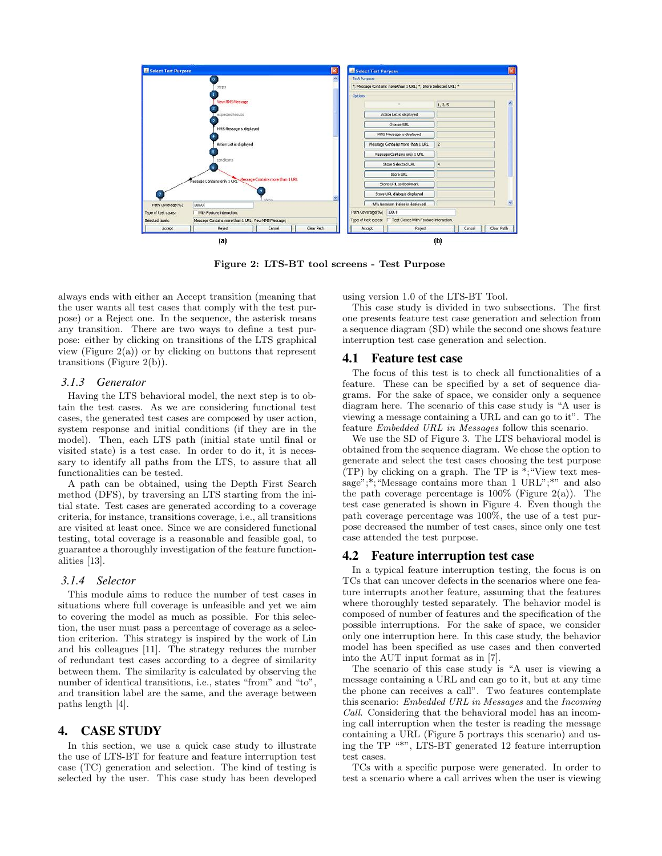

Figure 2: LTS-BT tool screens - Test Purpose

always ends with either an Accept transition (meaning that the user wants all test cases that comply with the test purpose) or a Reject one. In the sequence, the asterisk means any transition. There are two ways to define a test purpose: either by clicking on transitions of the LTS graphical view (Figure  $2(a)$ ) or by clicking on buttons that represent transitions (Figure 2(b)).

#### *3.1.3 Generator*

Having the LTS behavioral model, the next step is to obtain the test cases. As we are considering functional test cases, the generated test cases are composed by user action, system response and initial conditions (if they are in the model). Then, each LTS path (initial state until final or visited state) is a test case. In order to do it, it is necessary to identify all paths from the LTS, to assure that all functionalities can be tested.

A path can be obtained, using the Depth First Search method (DFS), by traversing an LTS starting from the initial state. Test cases are generated according to a coverage criteria, for instance, transitions coverage, i.e., all transitions are visited at least once. Since we are considered functional testing, total coverage is a reasonable and feasible goal, to guarantee a thoroughly investigation of the feature functionalities [13].

#### *3.1.4 Selector*

This module aims to reduce the number of test cases in situations where full coverage is unfeasible and yet we aim to covering the model as much as possible. For this selection, the user must pass a percentage of coverage as a selection criterion. This strategy is inspired by the work of Lin and his colleagues [11]. The strategy reduces the number of redundant test cases according to a degree of similarity between them. The similarity is calculated by observing the number of identical transitions, i.e., states "from" and "to", and transition label are the same, and the average between paths length [4].

## 4. CASE STUDY

In this section, we use a quick case study to illustrate the use of LTS-BT for feature and feature interruption test case (TC) generation and selection. The kind of testing is selected by the user. This case study has been developed using version 1.0 of the LTS-BT Tool.

This case study is divided in two subsections. The first one presents feature test case generation and selection from a sequence diagram (SD) while the second one shows feature interruption test case generation and selection.

#### 4.1 Feature test case

The focus of this test is to check all functionalities of a feature. These can be specified by a set of sequence diagrams. For the sake of space, we consider only a sequence diagram here. The scenario of this case study is "A user is viewing a message containing a URL and can go to it". The feature Embedded URL in Messages follow this scenario.

We use the SD of Figure 3. The LTS behavioral model is obtained from the sequence diagram. We chose the option to generate and select the test cases choosing the test purpose (TP) by clicking on a graph. The TP is \*;"View text message";\*;"Message contains more than 1 URL";\*" and also the path coverage percentage is  $100\%$  (Figure 2(a)). The test case generated is shown in Figure 4. Even though the path coverage percentage was 100%, the use of a test purpose decreased the number of test cases, since only one test case attended the test purpose.

#### 4.2 Feature interruption test case

In a typical feature interruption testing, the focus is on TCs that can uncover defects in the scenarios where one feature interrupts another feature, assuming that the features where thoroughly tested separately. The behavior model is composed of number of features and the specification of the possible interruptions. For the sake of space, we consider only one interruption here. In this case study, the behavior model has been specified as use cases and then converted into the AUT input format as in [7].

The scenario of this case study is "A user is viewing a message containing a URL and can go to it, but at any time the phone can receives a call". Two features contemplate this scenario: Embedded URL in Messages and the Incoming Call. Considering that the behavioral model has an incoming call interruption when the tester is reading the message containing a URL (Figure 5 portrays this scenario) and using the TP "\*", LTS-BT generated 12 feature interruption test cases.

TCs with a specific purpose were generated. In order to test a scenario where a call arrives when the user is viewing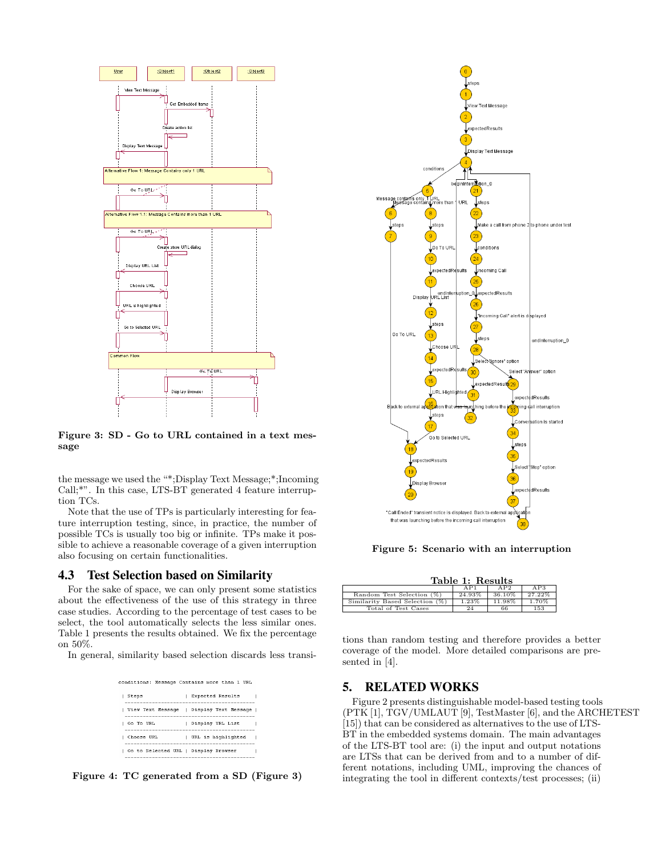

Figure 3: SD - Go to URL contained in a text message

the message we used the "\*;Display Text Message;\*;Incoming Call;\*". In this case, LTS-BT generated 4 feature interruption TCs.

Note that the use of TPs is particularly interesting for feature interruption testing, since, in practice, the number of possible TCs is usually too big or infinite. TPs make it possible to achieve a reasonable coverage of a given interruption also focusing on certain functionalities.

## 4.3 Test Selection based on Similarity

For the sake of space, we can only present some statistics about the effectiveness of the use of this strategy in three case studies. According to the percentage of test cases to be select, the tool automatically selects the less similar ones. Table 1 presents the results obtained. We fix the percentage on 50%.

In general, similarity based selection discards less transi-

|                                      | conditions: Message Contains more than 1 URL |
|--------------------------------------|----------------------------------------------|
| Steps                                | Expected Results                             |
|                                      | View Text Message   Display Text Message     |
| Go To HRL                            | Display URL List                             |
| Choose URL                           | URL is highlighted                           |
| Go to Selected URL   Display Browser |                                              |

Figure 4: TC generated from a SD (Figure 3)



Figure 5: Scenario with an interruption

| Table 1: Results               |          |        |        |  |  |  |
|--------------------------------|----------|--------|--------|--|--|--|
|                                | AP1      | AP2    | AP3    |  |  |  |
| Random Test Selection (%)      | 24.93%   | 36.10% | 27.22% |  |  |  |
| Similarity Based Selection (%) | $1.23\%$ | 11.98% | 1.70%  |  |  |  |
| Total of Test Cases            | 24       | 66     | 153    |  |  |  |

tions than random testing and therefore provides a better coverage of the model. More detailed comparisons are presented in [4].

## 5. RELATED WORKS

Figure 2 presents distinguishable model-based testing tools (PTK [1], TGV/UMLAUT [9], TestMaster [6], and the ARCHETEST [15]) that can be considered as alternatives to the use of LTS-BT in the embedded systems domain. The main advantages of the LTS-BT tool are: (i) the input and output notations are LTSs that can be derived from and to a number of different notations, including UML, improving the chances of integrating the tool in different contexts/test processes; (ii)